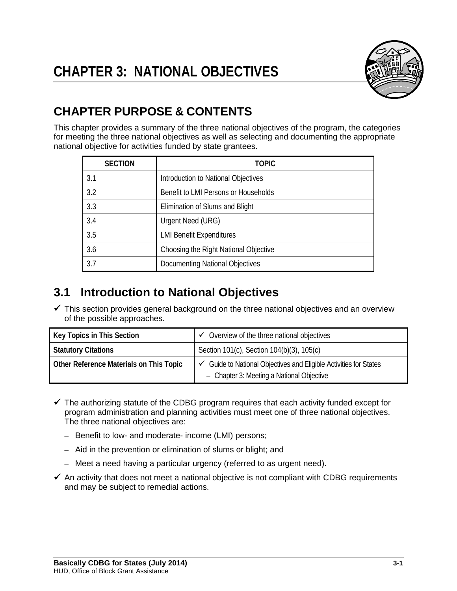

# **CHAPTER PURPOSE & CONTENTS**

This chapter provides a summary of the three national objectives of the program, the categories for meeting the three national objectives as well as selecting and documenting the appropriate national objective for activities funded by state grantees.

| <b>SECTION</b> | TOPIC                                 |
|----------------|---------------------------------------|
| 3.1            | Introduction to National Objectives   |
| 3.2            | Benefit to LMI Persons or Households  |
| 3.3            | Elimination of Slums and Blight       |
| 3.4            | Urgent Need (URG)                     |
| 3.5            | <b>LMI Benefit Expenditures</b>       |
| 3.6            | Choosing the Right National Objective |
| 3.7            | Documenting National Objectives       |

# **3.1 Introduction to National Objectives**

 $\checkmark$  This section provides general background on the three national objectives and an overview of the possible approaches.

| Key Topics in This Section              | $\checkmark$ Overview of the three national objectives                                                                    |
|-----------------------------------------|---------------------------------------------------------------------------------------------------------------------------|
| <b>Statutory Citations</b>              | Section 101(c), Section 104(b)(3), 105(c)                                                                                 |
| Other Reference Materials on This Topic | $\checkmark$ Guide to National Objectives and Eligible Activities for States<br>- Chapter 3: Meeting a National Objective |

- $\checkmark$  The authorizing statute of the CDBG program requires that each activity funded except for program administration and planning activities must meet one of three national objectives. The three national objectives are:
	- Benefit to low- and moderate- income (LMI) persons;
	- Aid in the prevention or elimination of slums or blight; and
	- Meet a need having a particular urgency (referred to as urgent need).
- $\checkmark$  An activity that does not meet a national objective is not compliant with CDBG requirements and may be subject to remedial actions.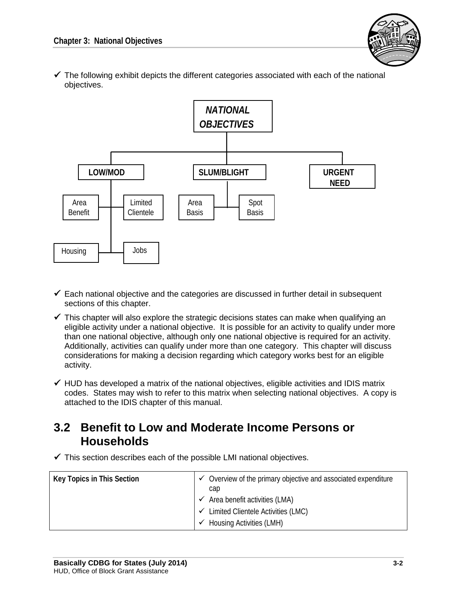

 $\checkmark$  The following exhibit depicts the different categories associated with each of the national objectives.



- $\checkmark$  Each national objective and the categories are discussed in further detail in subsequent sections of this chapter.
- $\checkmark$  This chapter will also explore the strategic decisions states can make when qualifying an eligible activity under a national objective. It is possible for an activity to qualify under more than one national objective, although only one national objective is required for an activity. Additionally, activities can qualify under more than one category. This chapter will discuss considerations for making a decision regarding which category works best for an eligible activity.
- $\checkmark$  HUD has developed a matrix of the national objectives, eligible activities and IDIS matrix codes. States may wish to refer to this matrix when selecting national objectives. A copy is attached to the IDIS chapter of this manual.

## **3.2 Benefit to Low and Moderate Income Persons or Households**

 $\checkmark$  This section describes each of the possible LMI national objectives.

| Key Topics in This Section | Overview of the primary objective and associated expenditure<br>cap                                                            |  |
|----------------------------|--------------------------------------------------------------------------------------------------------------------------------|--|
|                            | $\checkmark$ Area benefit activities (LMA)<br>V Limited Clientele Activities (LMC)<br>Housing Activities (LMH)<br>$\checkmark$ |  |
|                            |                                                                                                                                |  |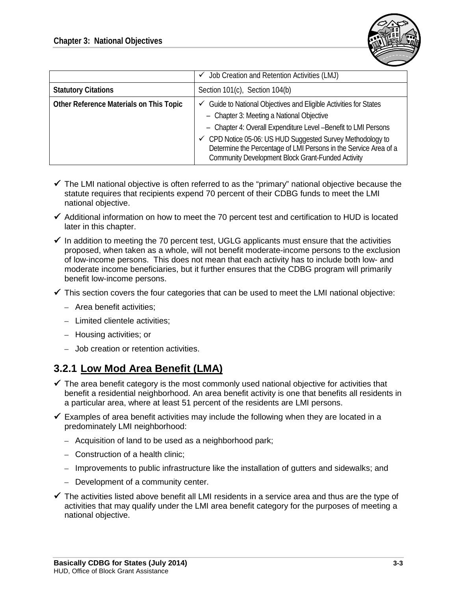

|                                         | $\checkmark$ Job Creation and Retention Activities (LMJ)                                                                                                                                   |
|-----------------------------------------|--------------------------------------------------------------------------------------------------------------------------------------------------------------------------------------------|
| <b>Statutory Citations</b>              | Section 101(c), Section 104(b)                                                                                                                                                             |
| Other Reference Materials on This Topic | Guide to National Objectives and Eligible Activities for States<br>$\checkmark$                                                                                                            |
|                                         | - Chapter 3: Meeting a National Objective<br>- Chapter 4: Overall Expenditure Level - Benefit to LMI Persons                                                                               |
|                                         | ← CPD Notice 05-06: US HUD Suggested Survey Methodology to<br>Determine the Percentage of LMI Persons in the Service Area of a<br><b>Community Development Block Grant-Funded Activity</b> |

- $\checkmark$  The LMI national objective is often referred to as the "primary" national objective because the statute requires that recipients expend 70 percent of their CDBG funds to meet the LMI national objective.
- $\checkmark$  Additional information on how to meet the 70 percent test and certification to HUD is located later in this chapter.
- $\checkmark$  In addition to meeting the 70 percent test, UGLG applicants must ensure that the activities proposed, when taken as a whole, will not benefit moderate-income persons to the exclusion of low-income persons. This does not mean that each activity has to include both low- and moderate income beneficiaries, but it further ensures that the CDBG program will primarily benefit low-income persons.
- $\checkmark$  This section covers the four categories that can be used to meet the LMI national objective:
	- Area benefit activities;
	- Limited clientele activities;
	- Housing activities; or
	- Job creation or retention activities.

## **3.2.1 Low Mod Area Benefit (LMA)**

- $\checkmark$  The area benefit category is the most commonly used national objective for activities that benefit a residential neighborhood. An area benefit activity is one that benefits all residents in a particular area, where at least 51 percent of the residents are LMI persons.
- $\checkmark$  Examples of area benefit activities may include the following when they are located in a predominately LMI neighborhood:
	- Acquisition of land to be used as a neighborhood park;
	- Construction of a health clinic;
	- Improvements to public infrastructure like the installation of gutters and sidewalks; and
	- Development of a community center.
- $\checkmark$  The activities listed above benefit all LMI residents in a service area and thus are the type of activities that may qualify under the LMI area benefit category for the purposes of meeting a national objective.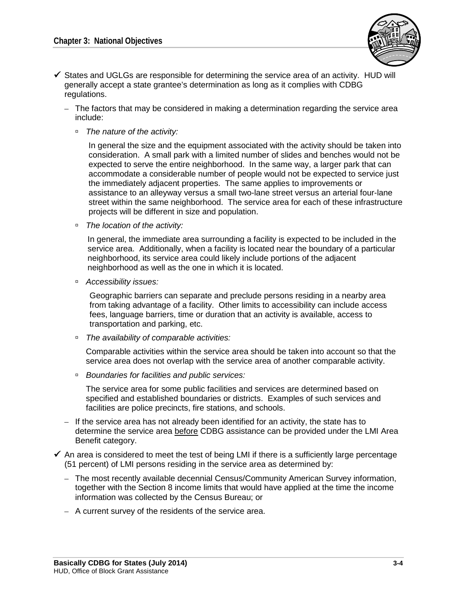

- $\checkmark$  States and UGLGs are responsible for determining the service area of an activity. HUD will generally accept a state grantee's determination as long as it complies with CDBG regulations.
	- The factors that may be considered in making a determination regarding the service area include:
		- *The nature of the activity:*

In general the size and the equipment associated with the activity should be taken into consideration. A small park with a limited number of slides and benches would not be expected to serve the entire neighborhood. In the same way, a larger park that can accommodate a considerable number of people would not be expected to service just the immediately adjacent properties. The same applies to improvements or assistance to an alleyway versus a small two-lane street versus an arterial four-lane street within the same neighborhood. The service area for each of these infrastructure projects will be different in size and population.

*The location of the activity:* 

In general, the immediate area surrounding a facility is expected to be included in the service area. Additionally, when a facility is located near the boundary of a particular neighborhood, its service area could likely include portions of the adjacent neighborhood as well as the one in which it is located.

*Accessibility issues:* 

Geographic barriers can separate and preclude persons residing in a nearby area from taking advantage of a facility. Other limits to accessibility can include access fees, language barriers, time or duration that an activity is available, access to transportation and parking, etc.

*The availability of comparable activities:*

Comparable activities within the service area should be taken into account so that the service area does not overlap with the service area of another comparable activity.

*Boundaries for facilities and public services:*

The service area for some public facilities and services are determined based on specified and established boundaries or districts. Examples of such services and facilities are police precincts, fire stations, and schools.

- If the service area has not already been identified for an activity, the state has to determine the service area before CDBG assistance can be provided under the LMI Area Benefit category.
- $\checkmark$  An area is considered to meet the test of being LMI if there is a sufficiently large percentage (51 percent) of LMI persons residing in the service area as determined by:
	- The most recently available decennial Census/Community American Survey information, together with the Section 8 income limits that would have applied at the time the income information was collected by the Census Bureau; or
	- A current survey of the residents of the service area.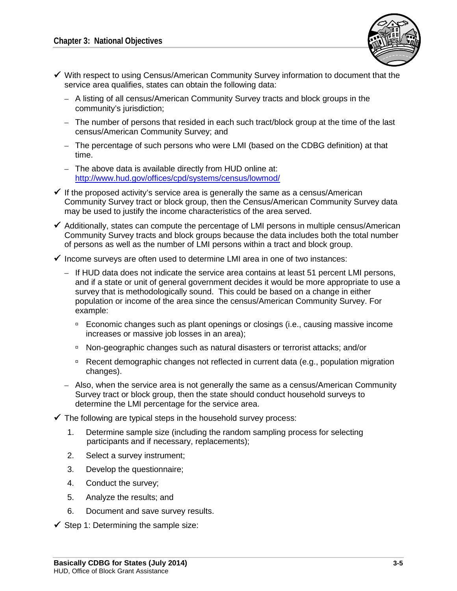

- $\checkmark$  With respect to using Census/American Community Survey information to document that the service area qualifies, states can obtain the following data:
	- A listing of all census/American Community Survey tracts and block groups in the community's jurisdiction;
	- The number of persons that resided in each such tract/block group at the time of the last census/American Community Survey; and
	- The percentage of such persons who were LMI (based on the CDBG definition) at that time.
	- The above data is available directly from HUD online at: <http://www.hud.gov/offices/cpd/systems/census/lowmod/>
- $\checkmark$  If the proposed activity's service area is generally the same as a census/American Community Survey tract or block group, then the Census/American Community Survey data may be used to justify the income characteristics of the area served.
- $\checkmark$  Additionally, states can compute the percentage of LMI persons in multiple census/American Community Survey tracts and block groups because the data includes both the total number of persons as well as the number of LMI persons within a tract and block group.
- $\checkmark$  Income surveys are often used to determine LMI area in one of two instances:
	- If HUD data does not indicate the service area contains at least 51 percent LMI persons, and if a state or unit of general government decides it would be more appropriate to use a survey that is methodologically sound. This could be based on a change in either population or income of the area since the census/American Community Survey. For example:
		- Economic changes such as plant openings or closings (i.e., causing massive income increases or massive job losses in an area);
		- Non-geographic changes such as natural disasters or terrorist attacks; and/or
		- □ Recent demographic changes not reflected in current data (e.g., population migration changes).
	- Also, when the service area is not generally the same as a census/American Community Survey tract or block group, then the state should conduct household surveys to determine the LMI percentage for the service area.
- $\checkmark$  The following are typical steps in the household survey process:
	- 1. Determine sample size (including the random sampling process for selecting participants and if necessary, replacements);
	- 2. Select a survey instrument;
	- 3. Develop the questionnaire;
	- 4. Conduct the survey;
	- 5. Analyze the results; and
	- 6. Document and save survey results.
- $\checkmark$  Step 1: Determining the sample size: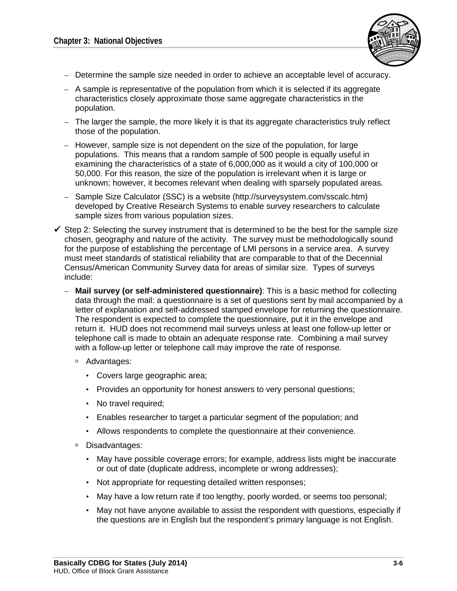

- Determine the sample size needed in order to achieve an acceptable level of accuracy.
- A sample is representative of the population from which it is selected if its aggregate characteristics closely approximate those same aggregate characteristics in the population.
- The larger the sample, the more likely it is that its aggregate characteristics truly reflect those of the population.
- However, sample size is not dependent on the size of the population, for large populations. This means that a random sample of 500 people is equally useful in examining the characteristics of a state of 6,000,000 as it would a city of 100,000 or 50,000. For this reason, the size of the population is irrelevant when it is large or unknown; however, it becomes relevant when dealing with sparsely populated areas.
- Sample Size Calculator (SSC) is a website (http://surveysystem.com/sscalc.htm) developed by Creative Research Systems to enable survey researchers to calculate sample sizes from various population sizes.
- $\checkmark$  Step 2: Selecting the survey instrument that is determined to be the best for the sample size chosen, geography and nature of the activity. The survey must be methodologically sound for the purpose of establishing the percentage of LMI persons in a service area. A survey must meet standards of statistical reliability that are comparable to that of the Decennial Census/American Community Survey data for areas of similar size. Types of surveys include:
	- **Mail survey (or self-administered questionnaire)**: This is a basic method for collecting data through the mail: a questionnaire is a set of questions sent by mail accompanied by a letter of explanation and self-addressed stamped envelope for returning the questionnaire. The respondent is expected to complete the questionnaire, put it in the envelope and return it. HUD does not recommend mail surveys unless at least one follow-up letter or telephone call is made to obtain an adequate response rate. Combining a mail survey with a follow-up letter or telephone call may improve the rate of response.
		- Advantages:
			- Covers large geographic area;
			- Provides an opportunity for honest answers to very personal questions;
			- No travel required;
			- Enables researcher to target a particular segment of the population; and
			- Allows respondents to complete the questionnaire at their convenience.
		- □ Disadvantages:
			- May have possible coverage errors; for example, address lists might be inaccurate or out of date (duplicate address, incomplete or wrong addresses);
			- Not appropriate for requesting detailed written responses;
			- May have a low return rate if too lengthy, poorly worded, or seems too personal;
			- May not have anyone available to assist the respondent with questions, especially if the questions are in English but the respondent's primary language is not English.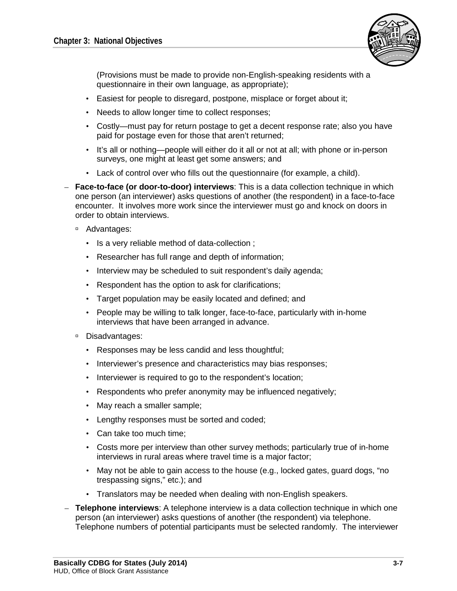

(Provisions must be made to provide non-English-speaking residents with a questionnaire in their own language, as appropriate);

- Easiest for people to disregard, postpone, misplace or forget about it;
- Needs to allow longer time to collect responses;
- Costly—must pay for return postage to get a decent response rate; also you have paid for postage even for those that aren't returned;
- It's all or nothing—people will either do it all or not at all; with phone or in-person surveys, one might at least get some answers; and
- Lack of control over who fills out the questionnaire (for example, a child).
- **Face-to-face (or door-to-door) interviews**: This is a data collection technique in which one person (an interviewer) asks questions of another (the respondent) in a face-to-face encounter. It involves more work since the interviewer must go and knock on doors in order to obtain interviews.
	- Advantages:
		- Is a very reliable method of data-collection ;
		- Researcher has full range and depth of information;
		- Interview may be scheduled to suit respondent's daily agenda;
		- Respondent has the option to ask for clarifications;
		- Target population may be easily located and defined; and
		- People may be willing to talk longer, face-to-face, particularly with in-home interviews that have been arranged in advance.
	- □ Disadvantages:
		- Responses may be less candid and less thoughtful;
		- Interviewer's presence and characteristics may bias responses;
		- Interviewer is required to go to the respondent's location;
		- Respondents who prefer anonymity may be influenced negatively;
		- May reach a smaller sample;
		- Lengthy responses must be sorted and coded;
		- Can take too much time;
		- Costs more per interview than other survey methods; particularly true of in-home interviews in rural areas where travel time is a major factor;
		- May not be able to gain access to the house (e.g., locked gates, guard dogs, "no trespassing signs," etc.); and
		- Translators may be needed when dealing with non-English speakers.
- **Telephone interviews**: A telephone interview is a data collection technique in which one person (an interviewer) asks questions of another (the respondent) via telephone. Telephone numbers of potential participants must be selected randomly. The interviewer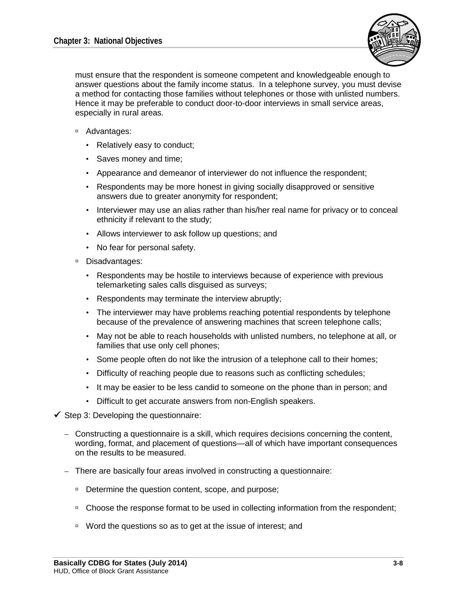

must ensure that the respondent is someone competent and knowledgeable enough to answer questions about the family income status. In a telephone survey, you must devise a method for contacting those families without telephones or those with unlisted numbers. Hence it may be preferable to conduct door-to-door interviews in small service areas, especially in rural areas.

- □ Advantages:
	- Relatively easy to conduct;
	- Saves money and time;
	- Appearance and demeanor of interviewer do not influence the respondent;
	- Respondents may be more honest in giving socially disapproved or sensitive answers due to greater anonymity for respondent;
	- Interviewer may use an alias rather than his/her real name for privacy or to conceal ethnicity if relevant to the study;
	- Allows interviewer to ask follow up questions; and
	- No fear for personal safety.
- Disadvantages:
	- Respondents may be hostile to interviews because of experience with previous telemarketing sales calls disguised as surveys;
	- Respondents may terminate the interview abruptly;
	- The interviewer may have problems reaching potential respondents by telephone because of the prevalence of answering machines that screen telephone calls;
	- May not be able to reach households with unlisted numbers, no telephone at all, or families that use only cell phones;
	- Some people often do not like the intrusion of a telephone call to their homes;
	- Difficulty of reaching people due to reasons such as conflicting schedules;
	- It may be easier to be less candid to someone on the phone than in person; and
	- Difficult to get accurate answers from non-English speakers.
- $\checkmark$  Step 3: Developing the questionnaire:
	- Constructing a questionnaire is a skill, which requires decisions concerning the content, wording, format, and placement of questions—all of which have important consequences on the results to be measured.
	- There are basically four areas involved in constructing a questionnaire:
		- □ Determine the question content, scope, and purpose;
		- Choose the response format to be used in collecting information from the respondent;
		- □ Word the questions so as to get at the issue of interest; and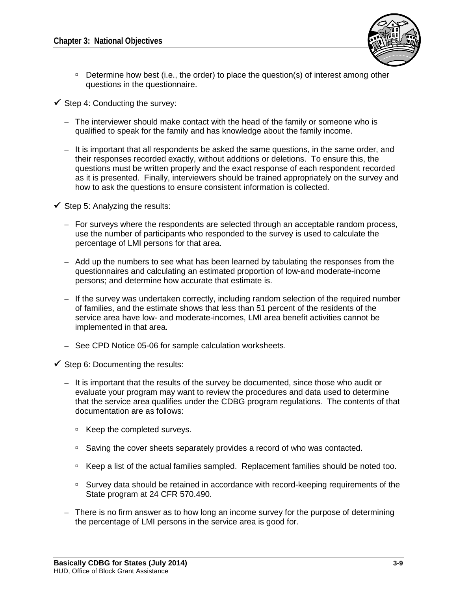

- Determine how best (i.e., the order) to place the question(s) of interest among other questions in the questionnaire.
- $\checkmark$  Step 4: Conducting the survey:
	- The interviewer should make contact with the head of the family or someone who is qualified to speak for the family and has knowledge about the family income.
	- It is important that all respondents be asked the same questions, in the same order, and their responses recorded exactly, without additions or deletions. To ensure this, the questions must be written properly and the exact response of each respondent recorded as it is presented. Finally, interviewers should be trained appropriately on the survey and how to ask the questions to ensure consistent information is collected.
- $\checkmark$  Step 5: Analyzing the results:
	- For surveys where the respondents are selected through an acceptable random process, use the number of participants who responded to the survey is used to calculate the percentage of LMI persons for that area.
	- Add up the numbers to see what has been learned by tabulating the responses from the questionnaires and calculating an estimated proportion of low-and moderate-income persons; and determine how accurate that estimate is.
	- If the survey was undertaken correctly, including random selection of the required number of families, and the estimate shows that less than 51 percent of the residents of the service area have low- and moderate-incomes, LMI area benefit activities cannot be implemented in that area.
	- See CPD Notice 05-06 for sample calculation worksheets.
- $\checkmark$  Step 6: Documenting the results:
	- It is important that the results of the survey be documented, since those who audit or evaluate your program may want to review the procedures and data used to determine that the service area qualifies under the CDBG program regulations. The contents of that documentation are as follows:
		- □ Keep the completed surveys.
		- Saving the cover sheets separately provides a record of who was contacted.
		- □ Keep a list of the actual families sampled. Replacement families should be noted too.
		- Survey data should be retained in accordance with record-keeping requirements of the State program at 24 CFR 570.490.
	- There is no firm answer as to how long an income survey for the purpose of determining the percentage of LMI persons in the service area is good for.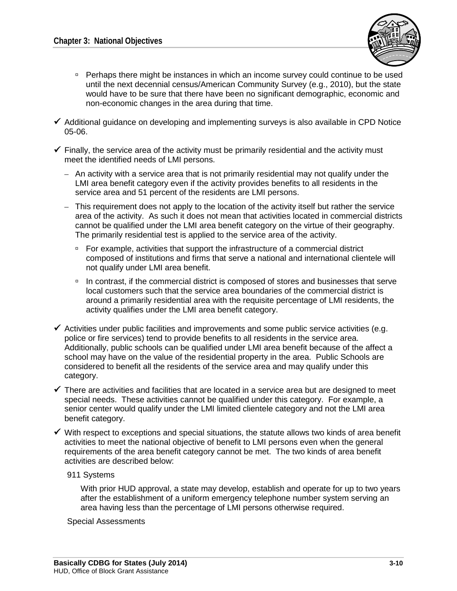

- Perhaps there might be instances in which an income survey could continue to be used until the next decennial census/American Community Survey (e.g., 2010), but the state would have to be sure that there have been no significant demographic, economic and non-economic changes in the area during that time.
- $\checkmark$  Additional guidance on developing and implementing surveys is also available in CPD Notice 05-06.
- $\checkmark$  Finally, the service area of the activity must be primarily residential and the activity must meet the identified needs of LMI persons.
	- An activity with a service area that is not primarily residential may not qualify under the LMI area benefit category even if the activity provides benefits to all residents in the service area and 51 percent of the residents are LMI persons.
	- This requirement does not apply to the location of the activity itself but rather the service area of the activity. As such it does not mean that activities located in commercial districts cannot be qualified under the LMI area benefit category on the virtue of their geography. The primarily residential test is applied to the service area of the activity.
		- □ For example, activities that support the infrastructure of a commercial district composed of institutions and firms that serve a national and international clientele will not qualify under LMI area benefit.
		- <sup>n</sup> In contrast, if the commercial district is composed of stores and businesses that serve local customers such that the service area boundaries of the commercial district is around a primarily residential area with the requisite percentage of LMI residents, the activity qualifies under the LMI area benefit category.
- $\checkmark$  Activities under public facilities and improvements and some public service activities (e.g. police or fire services) tend to provide benefits to all residents in the service area. Additionally, public schools can be qualified under LMI area benefit because of the affect a school may have on the value of the residential property in the area. Public Schools are considered to benefit all the residents of the service area and may qualify under this category.
- $\checkmark$  There are activities and facilities that are located in a service area but are designed to meet special needs. These activities cannot be qualified under this category. For example, a senior center would qualify under the LMI limited clientele category and not the LMI area benefit category.
- $\checkmark$  With respect to exceptions and special situations, the statute allows two kinds of area benefit activities to meet the national objective of benefit to LMI persons even when the general requirements of the area benefit category cannot be met. The two kinds of area benefit activities are described below:
	- 911 Systems

With prior HUD approval, a state may develop, establish and operate for up to two years after the establishment of a uniform emergency telephone number system serving an area having less than the percentage of LMI persons otherwise required.

Special Assessments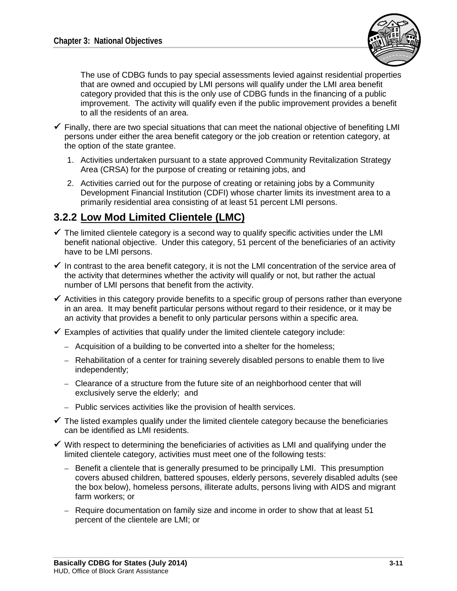

The use of CDBG funds to pay special assessments levied against residential properties that are owned and occupied by LMI persons will qualify under the LMI area benefit category provided that this is the only use of CDBG funds in the financing of a public improvement. The activity will qualify even if the public improvement provides a benefit to all the residents of an area.

- $\checkmark$  Finally, there are two special situations that can meet the national objective of benefiting LMI persons under either the area benefit category or the job creation or retention category, at the option of the state grantee.
	- 1. Activities undertaken pursuant to a state approved Community Revitalization Strategy Area (CRSA) for the purpose of creating or retaining jobs, and
	- 2. Activities carried out for the purpose of creating or retaining jobs by a Community Development Financial Institution (CDFI) whose charter limits its investment area to a primarily residential area consisting of at least 51 percent LMI persons.

## **3.2.2 Low Mod Limited Clientele (LMC)**

- $\checkmark$  The limited clientele category is a second way to qualify specific activities under the LMI benefit national objective. Under this category, 51 percent of the beneficiaries of an activity have to be LMI persons.
- $\checkmark$  In contrast to the area benefit category, it is not the LMI concentration of the service area of the activity that determines whether the activity will qualify or not, but rather the actual number of LMI persons that benefit from the activity.
- $\checkmark$  Activities in this category provide benefits to a specific group of persons rather than everyone in an area. It may benefit particular persons without regard to their residence, or it may be an activity that provides a benefit to only particular persons within a specific area.
- $\checkmark$  Examples of activities that qualify under the limited clientele category include:
	- Acquisition of a building to be converted into a shelter for the homeless;
	- Rehabilitation of a center for training severely disabled persons to enable them to live independently;
	- Clearance of a structure from the future site of an neighborhood center that will exclusively serve the elderly; and
	- Public services activities like the provision of health services.
- $\checkmark$  The listed examples qualify under the limited clientele category because the beneficiaries can be identified as LMI residents.
- $\checkmark$  With respect to determining the beneficiaries of activities as LMI and qualifying under the limited clientele category, activities must meet one of the following tests:
	- Benefit a clientele that is generally presumed to be principally LMI. This presumption covers abused children, battered spouses, elderly persons, severely disabled adults (see the box below), homeless persons, illiterate adults, persons living with AIDS and migrant farm workers; or
	- Require documentation on family size and income in order to show that at least 51 percent of the clientele are LMI; or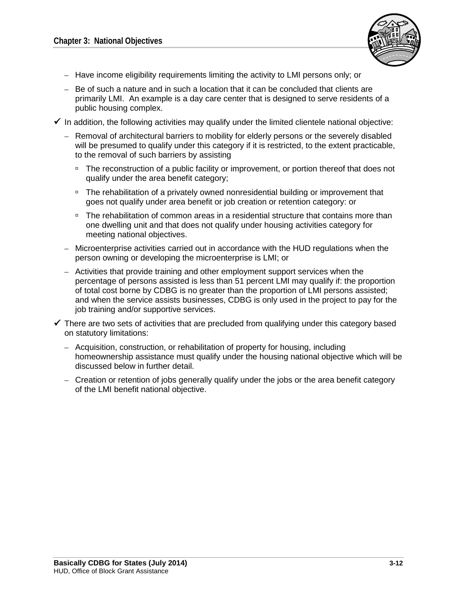

- Have income eligibility requirements limiting the activity to LMI persons only; or
- Be of such a nature and in such a location that it can be concluded that clients are primarily LMI. An example is a day care center that is designed to serve residents of a public housing complex.
- $\checkmark$  In addition, the following activities may qualify under the limited clientele national objective:
	- Removal of architectural barriers to mobility for elderly persons or the severely disabled will be presumed to qualify under this category if it is restricted, to the extent practicable, to the removal of such barriers by assisting
		- The reconstruction of a public facility or improvement, or portion thereof that does not qualify under the area benefit category;
		- □ The rehabilitation of a privately owned nonresidential building or improvement that goes not qualify under area benefit or job creation or retention category: or
		- The rehabilitation of common areas in a residential structure that contains more than one dwelling unit and that does not qualify under housing activities category for meeting national objectives.
	- Microenterprise activities carried out in accordance with the HUD regulations when the person owning or developing the microenterprise is LMI; or
	- Activities that provide training and other employment support services when the percentage of persons assisted is less than 51 percent LMI may qualify if: the proportion of total cost borne by CDBG is no greater than the proportion of LMI persons assisted; and when the service assists businesses, CDBG is only used in the project to pay for the job training and/or supportive services.
- $\checkmark$  There are two sets of activities that are precluded from qualifying under this category based on statutory limitations:
	- Acquisition, construction, or rehabilitation of property for housing, including homeownership assistance must qualify under the housing national objective which will be discussed below in further detail.
	- Creation or retention of jobs generally qualify under the jobs or the area benefit category of the LMI benefit national objective.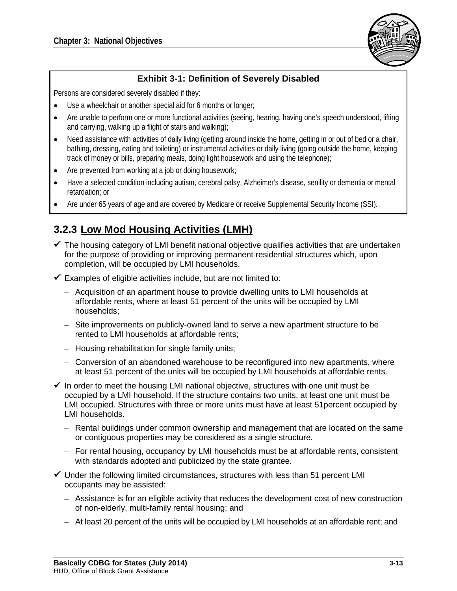

#### **Exhibit 3-1: Definition of Severely Disabled**

Persons are considered severely disabled if they:

- Use a wheelchair or another special aid for 6 months or longer;
- Are unable to perform one or more functional activities (seeing, hearing, having one's speech understood, lifting and carrying, walking up a flight of stairs and walking);
- Need assistance with activities of daily living (getting around inside the home, getting in or out of bed or a chair, bathing, dressing, eating and toileting) or instrumental activities or daily living (going outside the home, keeping track of money or bills, preparing meals, doing light housework and using the telephone);
- Are prevented from working at a job or doing housework;
- Have a selected condition including autism, cerebral palsy, Alzheimer's disease, senility or dementia or mental retardation; or
- Are under 65 years of age and are covered by Medicare or receive Supplemental Security Income (SSI).

## **3.2.3 Low Mod Housing Activities (LMH)**

- $\checkmark$  The housing category of LMI benefit national objective qualifies activities that are undertaken for the purpose of providing or improving permanent residential structures which, upon completion, will be occupied by LMI households.
- $\checkmark$  Examples of eligible activities include, but are not limited to:
	- Acquisition of an apartment house to provide dwelling units to LMI households at affordable rents, where at least 51 percent of the units will be occupied by LMI households;
	- Site improvements on publicly-owned land to serve a new apartment structure to be rented to LMI households at affordable rents;
	- Housing rehabilitation for single family units;
	- Conversion of an abandoned warehouse to be reconfigured into new apartments, where at least 51 percent of the units will be occupied by LMI households at affordable rents.
- $\checkmark$  In order to meet the housing LMI national objective, structures with one unit must be occupied by a LMI household. If the structure contains two units, at least one unit must be LMI occupied. Structures with three or more units must have at least 51percent occupied by LMI households.
	- Rental buildings under common ownership and management that are located on the same or contiguous properties may be considered as a single structure.
	- For rental housing, occupancy by LMI households must be at affordable rents, consistent with standards adopted and publicized by the state grantee.
- $\checkmark$  Under the following limited circumstances, structures with less than 51 percent LMI occupants may be assisted:
	- Assistance is for an eligible activity that reduces the development cost of new construction of non-elderly, multi-family rental housing; and
	- At least 20 percent of the units will be occupied by LMI households at an affordable rent; and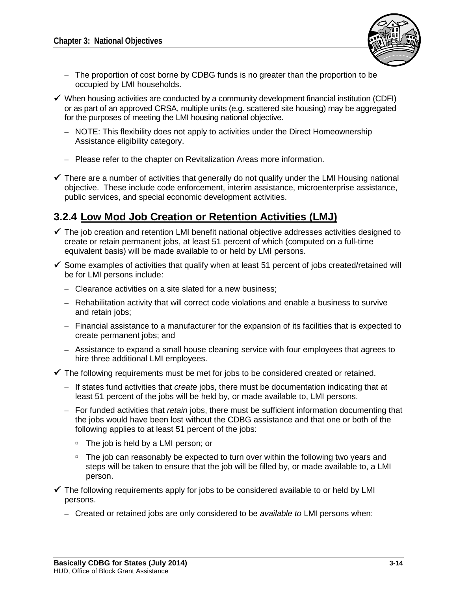

- The proportion of cost borne by CDBG funds is no greater than the proportion to be occupied by LMI households.
- $\checkmark$  When housing activities are conducted by a community development financial institution (CDFI) or as part of an approved CRSA, multiple units (e.g. scattered site housing) may be aggregated for the purposes of meeting the LMI housing national objective.
	- NOTE: This flexibility does not apply to activities under the Direct Homeownership Assistance eligibility category.
	- Please refer to the chapter on Revitalization Areas more information.
- $\checkmark$  There are a number of activities that generally do not qualify under the LMI Housing national objective. These include code enforcement, interim assistance, microenterprise assistance, public services, and special economic development activities.

## **3.2.4 Low Mod Job Creation or Retention Activities (LMJ)**

- $\checkmark$  The job creation and retention LMI benefit national objective addresses activities designed to create or retain permanent jobs, at least 51 percent of which (computed on a full-time equivalent basis) will be made available to or held by LMI persons.
- $\checkmark$  Some examples of activities that qualify when at least 51 percent of jobs created/retained will be for LMI persons include:
	- Clearance activities on a site slated for a new business;
	- Rehabilitation activity that will correct code violations and enable a business to survive and retain jobs;
	- Financial assistance to a manufacturer for the expansion of its facilities that is expected to create permanent jobs; and
	- Assistance to expand a small house cleaning service with four employees that agrees to hire three additional LMI employees.
- $\checkmark$  The following requirements must be met for jobs to be considered created or retained.
	- If states fund activities that *create* jobs, there must be documentation indicating that at least 51 percent of the jobs will be held by, or made available to, LMI persons.
	- For funded activities that *retain* jobs, there must be sufficient information documenting that the jobs would have been lost without the CDBG assistance and that one or both of the following applies to at least 51 percent of the jobs:
		- □ The job is held by a LMI person; or
		- □ The job can reasonably be expected to turn over within the following two years and steps will be taken to ensure that the job will be filled by, or made available to, a LMI person.
- $\checkmark$  The following requirements apply for jobs to be considered available to or held by LMI persons.
	- Created or retained jobs are only considered to be *available to* LMI persons when: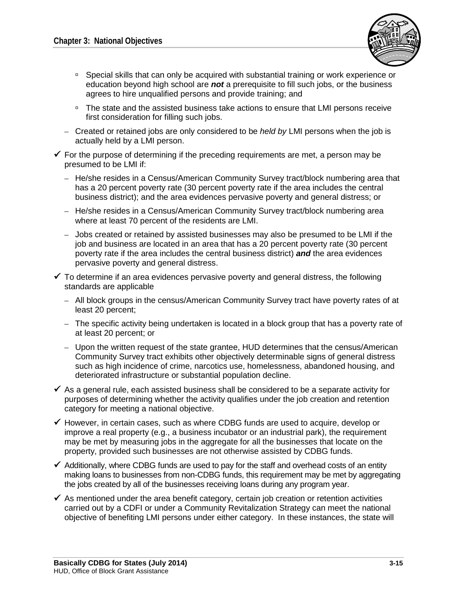

- Special skills that can only be acquired with substantial training or work experience or education beyond high school are *not* a prerequisite to fill such jobs, or the business agrees to hire unqualified persons and provide training; and
- The state and the assisted business take actions to ensure that LMI persons receive first consideration for filling such jobs.
- Created or retained jobs are only considered to be *held by* LMI persons when the job is actually held by a LMI person.
- $\checkmark$  For the purpose of determining if the preceding requirements are met, a person may be presumed to be LMI if:
	- He/she resides in a Census/American Community Survey tract/block numbering area that has a 20 percent poverty rate (30 percent poverty rate if the area includes the central business district); and the area evidences pervasive poverty and general distress; or
	- He/she resides in a Census/American Community Survey tract/block numbering area where at least 70 percent of the residents are LMI.
	- Jobs created or retained by assisted businesses may also be presumed to be LMI if the job and business are located in an area that has a 20 percent poverty rate (30 percent poverty rate if the area includes the central business district) *and* the area evidences pervasive poverty and general distress.
- $\checkmark$  To determine if an area evidences pervasive poverty and general distress, the following standards are applicable
	- All block groups in the census/American Community Survey tract have poverty rates of at least 20 percent;
	- The specific activity being undertaken is located in a block group that has a poverty rate of at least 20 percent; or
	- Upon the written request of the state grantee, HUD determines that the census/American Community Survey tract exhibits other objectively determinable signs of general distress such as high incidence of crime, narcotics use, homelessness, abandoned housing, and deteriorated infrastructure or substantial population decline.
- $\checkmark$  As a general rule, each assisted business shall be considered to be a separate activity for purposes of determining whether the activity qualifies under the job creation and retention category for meeting a national objective.
- $\checkmark$  However, in certain cases, such as where CDBG funds are used to acquire, develop or improve a real property (e.g., a business incubator or an industrial park), the requirement may be met by measuring jobs in the aggregate for all the businesses that locate on the property, provided such businesses are not otherwise assisted by CDBG funds.
- $\checkmark$  Additionally, where CDBG funds are used to pay for the staff and overhead costs of an entity making loans to businesses from non-CDBG funds, this requirement may be met by aggregating the jobs created by all of the businesses receiving loans during any program year.
- $\checkmark$  As mentioned under the area benefit category, certain job creation or retention activities carried out by a CDFI or under a Community Revitalization Strategy can meet the national objective of benefiting LMI persons under either category. In these instances, the state will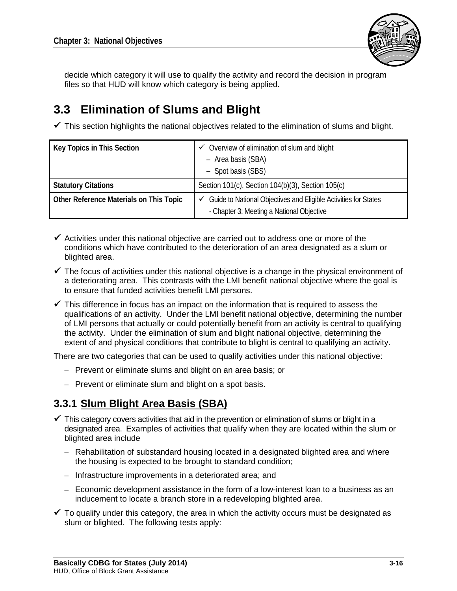

decide which category it will use to qualify the activity and record the decision in program files so that HUD will know which category is being applied.

# **3.3 Elimination of Slums and Blight**

 $\checkmark$  This section highlights the national objectives related to the elimination of slums and blight.

| Key Topics in This Section              | Overview of elimination of slum and blight<br>✓<br>- Area basis (SBA)<br>- Spot basis (SBS)                       |
|-----------------------------------------|-------------------------------------------------------------------------------------------------------------------|
| <b>Statutory Citations</b>              | Section 101(c), Section 104(b)(3), Section 105(c)                                                                 |
| Other Reference Materials on This Topic | Guide to National Objectives and Eligible Activities for States<br>✓<br>- Chapter 3: Meeting a National Objective |

- $\checkmark$  Activities under this national objective are carried out to address one or more of the conditions which have contributed to the deterioration of an area designated as a slum or blighted area.
- $\checkmark$  The focus of activities under this national objective is a change in the physical environment of a deteriorating area. This contrasts with the LMI benefit national objective where the goal is to ensure that funded activities benefit LMI persons.
- $\checkmark$  This difference in focus has an impact on the information that is required to assess the qualifications of an activity. Under the LMI benefit national objective, determining the number of LMI persons that actually or could potentially benefit from an activity is central to qualifying the activity. Under the elimination of slum and blight national objective, determining the extent of and physical conditions that contribute to blight is central to qualifying an activity.

There are two categories that can be used to qualify activities under this national objective:

- Prevent or eliminate slums and blight on an area basis; or
- Prevent or eliminate slum and blight on a spot basis.

# **3.3.1 Slum Blight Area Basis (SBA)**

- $\checkmark$  This category covers activities that aid in the prevention or elimination of slums or blight in a designated area. Examples of activities that qualify when they are located within the slum or blighted area include
	- Rehabilitation of substandard housing located in a designated blighted area and where the housing is expected to be brought to standard condition;
	- Infrastructure improvements in a deteriorated area; and
	- Economic development assistance in the form of a low-interest loan to a business as an inducement to locate a branch store in a redeveloping blighted area.
- $\checkmark$  To qualify under this category, the area in which the activity occurs must be designated as slum or blighted. The following tests apply: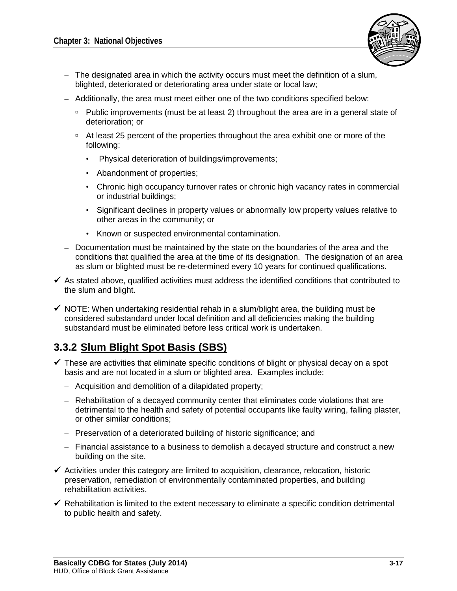

- $-$  The designated area in which the activity occurs must meet the definition of a slum, blighted, deteriorated or deteriorating area under state or local law;
- Additionally, the area must meet either one of the two conditions specified below:
	- Public improvements (must be at least 2) throughout the area are in a general state of deterioration; or
	- <sup>p</sup> At least 25 percent of the properties throughout the area exhibit one or more of the following:
		- Physical deterioration of buildings/improvements;
		- Abandonment of properties;
		- Chronic high occupancy turnover rates or chronic high vacancy rates in commercial or industrial buildings;
		- Significant declines in property values or abnormally low property values relative to other areas in the community; or
		- Known or suspected environmental contamination.
- Documentation must be maintained by the state on the boundaries of the area and the conditions that qualified the area at the time of its designation. The designation of an area as slum or blighted must be re-determined every 10 years for continued qualifications.
- $\checkmark$  As stated above, qualified activities must address the identified conditions that contributed to the slum and blight.
- $\checkmark$  NOTE: When undertaking residential rehab in a slum/blight area, the building must be considered substandard under local definition and all deficiencies making the building substandard must be eliminated before less critical work is undertaken.

## **3.3.2 Slum Blight Spot Basis (SBS)**

- $\checkmark$  These are activities that eliminate specific conditions of blight or physical decay on a spot basis and are not located in a slum or blighted area. Examples include:
	- Acquisition and demolition of a dilapidated property;
	- Rehabilitation of a decayed community center that eliminates code violations that are detrimental to the health and safety of potential occupants like faulty wiring, falling plaster, or other similar conditions;
	- Preservation of a deteriorated building of historic significance; and
	- Financial assistance to a business to demolish a decayed structure and construct a new building on the site.
- $\checkmark$  Activities under this category are limited to acquisition, clearance, relocation, historic preservation, remediation of environmentally contaminated properties, and building rehabilitation activities.
- $\checkmark$  Rehabilitation is limited to the extent necessary to eliminate a specific condition detrimental to public health and safety.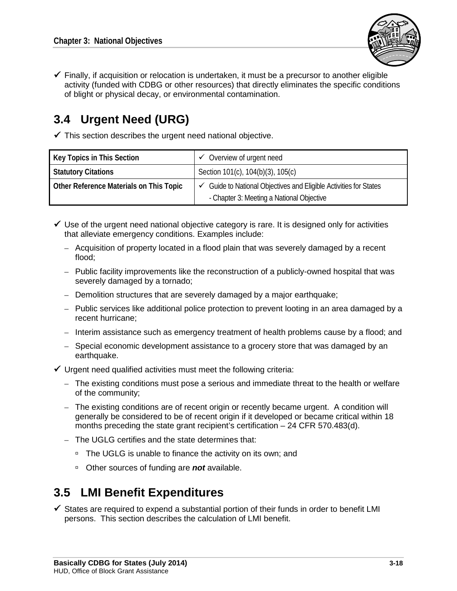

- ✔ With respect to using Census/American Community Survey information to document that the service area qualifies, states can obtain the following data:
	- A listing of all census/American Community Survey tracts and block groups in the community's jurisdiction;
	- The number of persons that resided in each such tract/block group at the time of the last census/American Community Survey; and
	- The percentage of such persons who were LMI (based on the CDBG definition) at that time.
	- The above data is available directly from HUD online at: http://www.hud.gov/offices/cpd/systems/census/lowmod/
- $\checkmark$  If the proposed activity's service area is generally the same as a census/American Community Survey tract or block group, then the Census/American Community Survey data may be used to justify the income characteristics of the area served.
- ✔ Additionally, states can compute the percentage of LMI persons in multiple census/American Community Survey tracts and block groups because the data includes both the total number of persons as well as the number of LMI persons within a tract and block group.
- √ Income surveys are often used to determine LMI area in one of two instances:
	- If HUD data does not indicate the service area contains at least 51 percent LMI persons, and if a state or unit of general government decides it would be more appropriate to use a survey that is methodologically sound. This could be based on a change in either population or income of the area since the census/American Community Survey. For example:
		- □ Economic changes such as plant openings or closings (i.e., causing massive income increases or massive job losses in an area);
		- <sup>D</sup> Non-geographic changes such as natural disasters or terrorist attacks; and/or
		- Recent demographic changes not reflected in current data (e.g., population migration changes).
	- Also, when the service area is not generally the same as a census/American Community Survey tract or block group, then the state should conduct household surveys to determine the LMI percentage for the service area.
- $\checkmark$  The following are typical steps in the household survey process:
	- $1<sub>1</sub>$ Determine sample size (including the random sampling process for selecting participants and if necessary, replacements);
	- $2.$ Select a survey instrument;
	- $3<sub>1</sub>$ Develop the questionnaire;
	- 4. Conduct the survey;
	- 5. Analyze the results; and
	- Document and save survey results. 6.
- $\checkmark$  Step 1: Determining the sample size: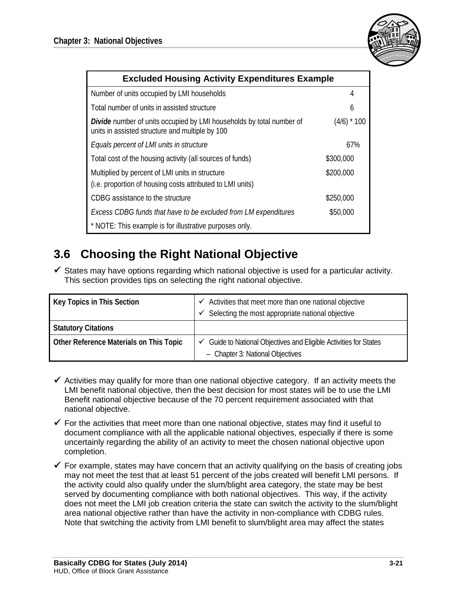

| <b>Excluded Housing Activity Expenditures Example</b>                                                                          |               |  |
|--------------------------------------------------------------------------------------------------------------------------------|---------------|--|
| Number of units occupied by LMI households                                                                                     | 4             |  |
| Total number of units in assisted structure                                                                                    | 6             |  |
| <b>Divide</b> number of units occupied by LMI households by total number of<br>units in assisted structure and multiple by 100 | $(4/6)$ * 100 |  |
| Equals percent of LMI units in structure                                                                                       | 67%           |  |
| Total cost of the housing activity (all sources of funds)                                                                      | \$300,000     |  |
| Multiplied by percent of LMI units in structure                                                                                | \$200,000     |  |
| (i.e. proportion of housing costs attributed to LMI units)                                                                     |               |  |
| CDBG assistance to the structure                                                                                               | \$250,000     |  |
| Excess CDBG funds that have to be excluded from LM expenditures                                                                | \$50,000      |  |
| * NOTE: This example is for illustrative purposes only.                                                                        |               |  |

# **3.6 Choosing the Right National Objective**

 $\checkmark$  States may have options regarding which national objective is used for a particular activity. This section provides tips on selecting the right national objective.

| Key Topics in This Section              | $\checkmark$ Activities that meet more than one national objective<br>Selecting the most appropriate national objective<br>✓ |
|-----------------------------------------|------------------------------------------------------------------------------------------------------------------------------|
| <b>Statutory Citations</b>              |                                                                                                                              |
| Other Reference Materials on This Topic | Guide to National Objectives and Eligible Activities for States<br>- Chapter 3: National Objectives                          |

- $\checkmark$  Activities may qualify for more than one national objective category. If an activity meets the LMI benefit national objective, then the best decision for most states will be to use the LMI Benefit national objective because of the 70 percent requirement associated with that national objective.
- $\checkmark$  For the activities that meet more than one national objective, states may find it useful to document compliance with all the applicable national objectives, especially if there is some uncertainly regarding the ability of an activity to meet the chosen national objective upon completion.
- $\checkmark$  For example, states may have concern that an activity qualifying on the basis of creating jobs may not meet the test that at least 51 percent of the jobs created will benefit LMI persons. If the activity could also qualify under the slum/blight area category, the state may be best served by documenting compliance with both national objectives. This way, if the activity does not meet the LMI job creation criteria the state can switch the activity to the slum/blight area national objective rather than have the activity in non-compliance with CDBG rules. Note that switching the activity from LMI benefit to slum/blight area may affect the states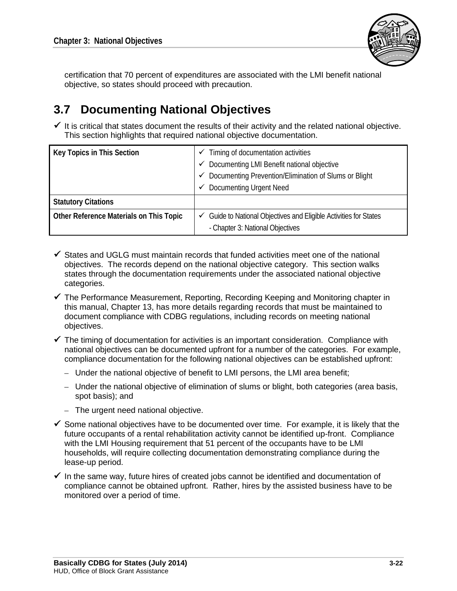

certification that 70 percent of expenditures are associated with the LMI benefit national objective, so states should proceed with precaution.

# **3.7 Documenting National Objectives**

 $\checkmark$  It is critical that states document the results of their activity and the related national objective. This section highlights that required national objective documentation.

| Key Topics in This Section              | Timing of documentation activities<br>✓                                                                          |
|-----------------------------------------|------------------------------------------------------------------------------------------------------------------|
|                                         | Documenting LMI Benefit national objective<br>$\checkmark$                                                       |
|                                         | Documenting Prevention/Elimination of Slums or Blight<br>✓                                                       |
|                                         | <b>Documenting Urgent Need</b><br>٧                                                                              |
| <b>Statutory Citations</b>              |                                                                                                                  |
| Other Reference Materials on This Topic | $\checkmark$ Guide to National Objectives and Eligible Activities for States<br>- Chapter 3: National Objectives |

- $\checkmark$  States and UGLG must maintain records that funded activities meet one of the national objectives. The records depend on the national objective category. This section walks states through the documentation requirements under the associated national objective categories.
- $\checkmark$  The Performance Measurement, Reporting, Recording Keeping and Monitoring chapter in this manual, Chapter 13, has more details regarding records that must be maintained to document compliance with CDBG regulations, including records on meeting national objectives.
- $\checkmark$  The timing of documentation for activities is an important consideration. Compliance with national objectives can be documented upfront for a number of the categories. For example, compliance documentation for the following national objectives can be established upfront:
	- Under the national objective of benefit to LMI persons, the LMI area benefit;
	- Under the national objective of elimination of slums or blight, both categories (area basis, spot basis); and
	- The urgent need national objective.
- $\checkmark$  Some national objectives have to be documented over time. For example, it is likely that the future occupants of a rental rehabilitation activity cannot be identified up-front. Compliance with the LMI Housing requirement that 51 percent of the occupants have to be LMI households, will require collecting documentation demonstrating compliance during the lease-up period.
- $\checkmark$  In the same way, future hires of created jobs cannot be identified and documentation of compliance cannot be obtained upfront. Rather, hires by the assisted business have to be monitored over a period of time.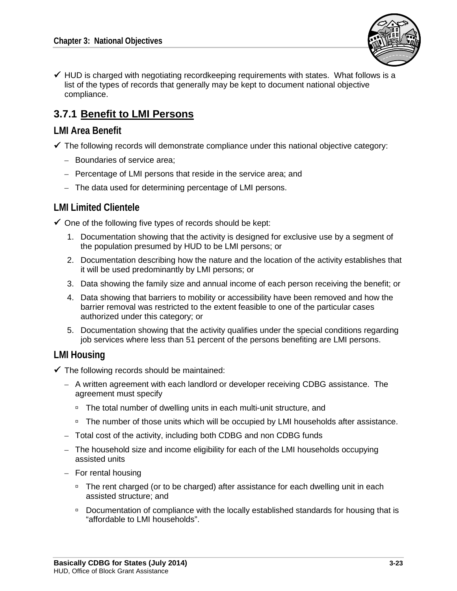

 $\checkmark$  HUD is charged with negotiating recordkeeping requirements with states. What follows is a list of the types of records that generally may be kept to document national objective compliance.

# **3.7.1 Benefit to LMI Persons**

#### **LMI Area Benefit**

- $\checkmark$  The following records will demonstrate compliance under this national objective category:
	- Boundaries of service area;
	- Percentage of LMI persons that reside in the service area; and
	- The data used for determining percentage of LMI persons.

### **LMI Limited Clientele**

 $\checkmark$  One of the following five types of records should be kept:

- 1. Documentation showing that the activity is designed for exclusive use by a segment of the population presumed by HUD to be LMI persons; or
- 2. Documentation describing how the nature and the location of the activity establishes that it will be used predominantly by LMI persons; or
- 3. Data showing the family size and annual income of each person receiving the benefit; or
- 4. Data showing that barriers to mobility or accessibility have been removed and how the barrier removal was restricted to the extent feasible to one of the particular cases authorized under this category; or
- 5. Documentation showing that the activity qualifies under the special conditions regarding job services where less than 51 percent of the persons benefiting are LMI persons.

#### **LMI Housing**

- $\checkmark$  The following records should be maintained:
	- A written agreement with each landlord or developer receiving CDBG assistance. The agreement must specify
		- □ The total number of dwelling units in each multi-unit structure, and
		- □ The number of those units which will be occupied by LMI households after assistance.
	- Total cost of the activity, including both CDBG and non CDBG funds
	- The household size and income eligibility for each of the LMI households occupying assisted units
	- For rental housing
		- □ The rent charged (or to be charged) after assistance for each dwelling unit in each assisted structure; and
		- Documentation of compliance with the locally established standards for housing that is "affordable to LMI households".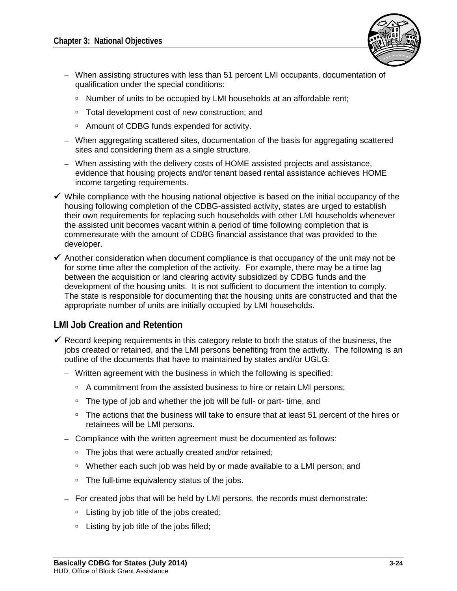- When assisting structures with less than 51 percent LMI occupants, documentation of qualification under the special conditions:
	- □ Number of units to be occupied by LMI households at an affordable rent;
	- Total development cost of new construction; and
	- □ Amount of CDBG funds expended for activity.
- When aggregating scattered sites, documentation of the basis for aggregating scattered sites and considering them as a single structure.
- When assisting with the delivery costs of HOME assisted projects and assistance, evidence that housing projects and/or tenant based rental assistance achieves HOME income targeting requirements.
- $\checkmark$  While compliance with the housing national objective is based on the initial occupancy of the housing following completion of the CDBG-assisted activity, states are urged to establish their own requirements for replacing such households with other LMI households whenever the assisted unit becomes vacant within a period of time following completion that is commensurate with the amount of CDBG financial assistance that was provided to the developer.
- $\checkmark$  Another consideration when document compliance is that occupancy of the unit may not be for some time after the completion of the activity. For example, there may be a time lag between the acquisition or land clearing activity subsidized by CDBG funds and the development of the housing units. It is not sufficient to document the intention to comply. The state is responsible for documenting that the housing units are constructed and that the appropriate number of units are initially occupied by LMI households.

### **LMI Job Creation and Retention**

- $\checkmark$  Record keeping requirements in this category relate to both the status of the business, the jobs created or retained, and the LMI persons benefiting from the activity. The following is an outline of the documents that have to maintained by states and/or UGLG:
	- Written agreement with the business in which the following is specified:
		- <sup>D</sup> A commitment from the assisted business to hire or retain LMI persons;
		- $\overline{P}$ . The type of job and whether the job will be full- or part- time, and
		- □ The actions that the business will take to ensure that at least 51 percent of the hires or retainees will be LMI persons.
	- Compliance with the written agreement must be documented as follows:
		- □ The jobs that were actually created and/or retained;
		- Whether each such job was held by or made available to a LMI person; and
		- □ The full-time equivalency status of the jobs.
	- For created jobs that will be held by LMI persons, the records must demonstrate:
		- □ Listing by job title of the jobs created;
		- □ Listing by job title of the jobs filled;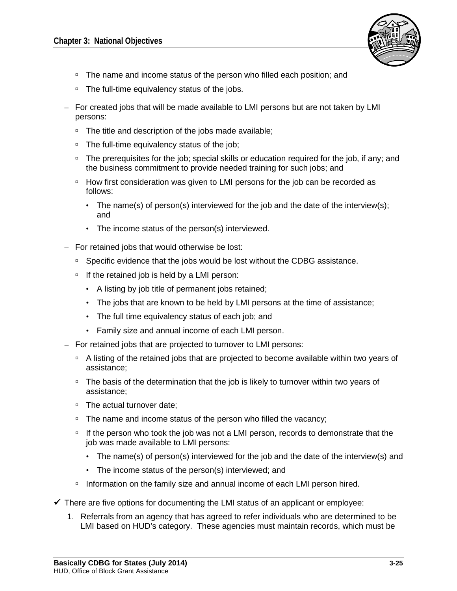

- □ The name and income status of the person who filled each position; and
- □ The full-time equivalency status of the jobs.
- For created jobs that will be made available to LMI persons but are not taken by LMI persons:
	- □ The title and description of the jobs made available;
	- □ The full-time equivalency status of the job;
	- □ The prerequisites for the job; special skills or education required for the job, if any; and the business commitment to provide needed training for such jobs; and
	- □ How first consideration was given to LMI persons for the job can be recorded as follows:
		- The name(s) of person(s) interviewed for the job and the date of the interview(s); and
		- The income status of the person(s) interviewed.
- For retained jobs that would otherwise be lost:
	- □ Specific evidence that the jobs would be lost without the CDBG assistance.
	- $\Box$  If the retained job is held by a LMI person:
		- A listing by job title of permanent jobs retained;
		- The jobs that are known to be held by LMI persons at the time of assistance;
		- The full time equivalency status of each job; and
		- Family size and annual income of each LMI person.
- For retained jobs that are projected to turnover to LMI persons:
	- A listing of the retained jobs that are projected to become available within two years of assistance;
	- $\overline{P}$  The basis of the determination that the job is likely to turnover within two years of assistance;
	- □ The actual turnover date;
	- □ The name and income status of the person who filled the vacancy;
	- □ If the person who took the job was not a LMI person, records to demonstrate that the job was made available to LMI persons:
		- The name(s) of person(s) interviewed for the job and the date of the interview(s) and
		- The income status of the person(s) interviewed; and
	- □ Information on the family size and annual income of each LMI person hired.
- $\checkmark$  There are five options for documenting the LMI status of an applicant or employee:
	- 1. Referrals from an agency that has agreed to refer individuals who are determined to be LMI based on HUD's category. These agencies must maintain records, which must be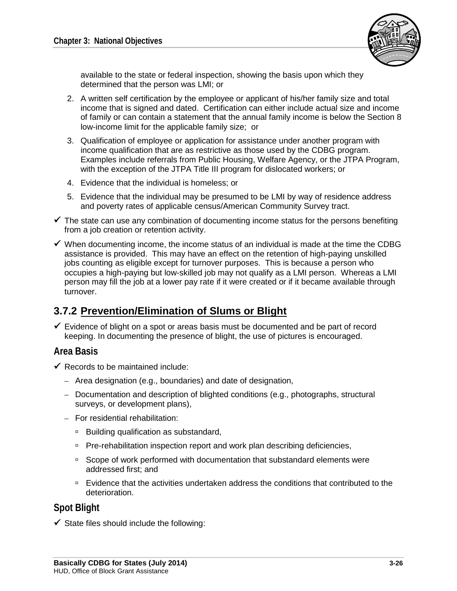

available to the state or federal inspection, showing the basis upon which they determined that the person was LMI; or

- 2. A written self certification by the employee or applicant of his/her family size and total income that is signed and dated. Certification can either include actual size and income of family or can contain a statement that the annual family income is below the Section 8 low-income limit for the applicable family size; or
- 3. Qualification of employee or application for assistance under another program with income qualification that are as restrictive as those used by the CDBG program. Examples include referrals from Public Housing, Welfare Agency, or the JTPA Program, with the exception of the JTPA Title III program for dislocated workers; or
- 4. Evidence that the individual is homeless; or
- 5. Evidence that the individual may be presumed to be LMI by way of residence address and poverty rates of applicable census/American Community Survey tract.
- $\checkmark$  The state can use any combination of documenting income status for the persons benefiting from a job creation or retention activity.
- $\checkmark$  When documenting income, the income status of an individual is made at the time the CDBG assistance is provided. This may have an effect on the retention of high-paying unskilled jobs counting as eligible except for turnover purposes. This is because a person who occupies a high-paying but low-skilled job may not qualify as a LMI person. Whereas a LMI person may fill the job at a lower pay rate if it were created or if it became available through turnover.

## **3.7.2 Prevention/Elimination of Slums or Blight**

 $\checkmark$  Evidence of blight on a spot or areas basis must be documented and be part of record keeping. In documenting the presence of blight, the use of pictures is encouraged.

#### **Area Basis**

- $\checkmark$  Records to be maintained include:
	- Area designation (e.g., boundaries) and date of designation,
	- Documentation and description of blighted conditions (e.g., photographs, structural surveys, or development plans),
	- For residential rehabilitation:
		- □ Building qualification as substandard,
		- □ Pre-rehabilitation inspection report and work plan describing deficiencies,
		- □ Scope of work performed with documentation that substandard elements were addressed first; and
		- Evidence that the activities undertaken address the conditions that contributed to the deterioration.

#### **Spot Blight**

 $\checkmark$  State files should include the following: